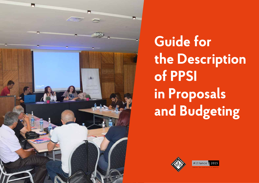

**Guide for the Description of PPSI in Proposals and Budgeting**



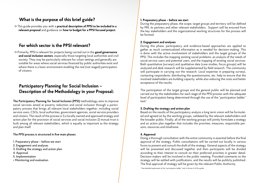# **What is the purpose of this brief guide?**

→ This guide provides you with a **practical description of PPSI to be included in a relevant proposal** and guidance on **how to budget for a PPSI focused project**.

# **For which sector is the PPSI relevant?**

→ Primarily, PPSI is relevant for projects being carried out in the **good governance and social inclusion sectors**, especially those targeting local authorities and civil society. They may be particularly relevant for urban settings and generally are suitable for areas where social services financed by public authorities exist and where there is a basic environment enabling the real (not-staged) participation of citizens.

# **Participatory Planning for Social Inclusion – Description of the Methodology in your Proposal:**

**The Participatory Planning for Social Inclusion (PPSI)** methodology aims to improve social services aimed at poverty reduction and social inclusion through a participatory process that brings all relevant local stakeholders together, including social service users, CSOs, local authorities, government agencies, social service providers and citizens. The result of the process is 1) a locally owned and approved strategy and action plan for the provision of social services and social inclusion 2) mutual trust is built among all relevant stakeholders, which is equally as important as the strategy and plan itself.

#### **The PPSI process is structured in five main phases:**

- 1. Preparatory phase before we start
- 2. Engagement and analyses
- 3. Drafting the strategy and action plan
- 4. Approval
- 5. Implementation
- + Monitoring and evaluation

#### **1. Preparatory phase – before we start**

During the preparatory phase, the scope, target groups and territory will be defined by PIN, its partners and other relevant stakeholders. Support will be ensured from the key stakeholders and the organizational working structures for the process will be formed.

### **2. Engagement and analyses**

During this phase, participatory and evidence-based approaches are applied to gather as much contextualized information as is needed for decision-making. This is done with the active involvement of stakeholders and the target groups of the PPSI. This includes the mapping existing social problems, an analysis of the needs of social service users and potential users, and the mapping of existing social services. Both quantitative (surveys) and qualitative data (case studies, focus groups) will be analyzed and desk research will be supplemented by field research. The community will participate in carrying out the research. Local expertise in preparing surveys, contacting respondents, distributing the questionnaires, etc. help to ensure that the involved stakeholders are building capacity, while also reducing the costs and better acceptance of the results.

The participation of the target groups and the general public will be planned and carried out by the stakeholders for each stage of the PPSI process with the adequate level of participation being determined through the use of the "participation ladder" tool $<sup>1</sup>$ </sup>

### **3. Drafting the strategy and action plan**

Based on the results of the participatory analysis a long term vision will be formulated and agreed on by the working groups, validated by the relevant stakeholders and the broader public. Finally, all of the working groups will jointly formulate a strategy and an action plan together that includes the priorities, measures, responsible persons, resources and timeframe.

### **4. Approval**

Doing a thorough consultation with the entire community is essential before the final approval of the strategy. Public consultations will be carried out locally in various forms to present and consult the draft of the strategy. General aspects of the strategy will be presented and discussed together and then participants will be divided according to their interest to consult on their preferred priorities in greater detail. Decision-makers will be involved in the public meeting. Provided comments to the strategy will be settled with justifications, and the results will be publicly published. The final approval of strategy will be given by the relevant Public Authority.

1 See detailed explanation of the "participation ladder" tool in Annex 4 of this guide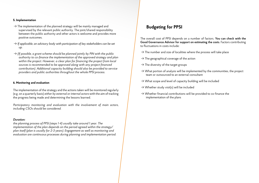#### **5. Implementation**

- $\rightarrow$  The implementation of the planned strategy will be mainly managed and supervised by the relevant public authority. The joint/shared responsibility between the public authority and other actors is welcome and provides more positive outcomes.
- → *If applicable, an advisory body with participation of key stakeholders can be set up.*
- → *(If possible, a grant scheme should be planned jointly by PIN with the public authority to co-finance the implementation of the approved strategy and plan within the project. However, a clear plan for financing the project from local sources is recommended to be approved along with any project financed contribution). Additional capacity building should also be provided to service providers and public authorities throughout the whole PPSI process.*

#### **6. Monitoring and evaluation**

The implementation of the strategy and the actions taken will be monitored regularly (e.g. on a quarterly basis) *either by external or internal actors* with the aim of tracking the progress being made and determining the lessons learned.

*Participatory monitoring and evaluation with the involvement of main actors, including CSOs should be considered.*

#### *Duration:*

*the planning process of PPSI (steps 1-4) usually take around 1 year. The implementation of the plan depends on the period agreed within the strategy/ plan itself (plan is usually for 2-3 years). Engagement as well as monitoring and evaluation are continuous processes during planning and implementation period.*

# **Budgeting for PPSI**

The overall cost of PPSI depends on a number of factors. **You can check with the Good Governance Advisor for support on estimating the costs**. Factors contributing to fluctuations in costs include:

- $\rightarrow$  The number and size of localities where the process will take place
- $\rightarrow$  The geographical coverage of the action
- $\rightarrow$  The diversity of the target groups
- $\rightarrow$  What portion of analysis will be implemented by the communities, the project team or outsourced to an external consultant
- $\rightarrow$  What scope and level of capacity building will be included
- $\rightarrow$  Whether study visit(s) will be included
- $\rightarrow$  Whether financial contributions will be provided to co-finance the implementation of the plans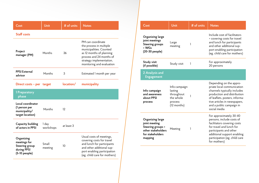| Cost                                                                                | Unit               | # of units | <b>Notes</b>                                                                                                                                                                             |
|-------------------------------------------------------------------------------------|--------------------|------------|------------------------------------------------------------------------------------------------------------------------------------------------------------------------------------------|
| <b>Staff costs</b>                                                                  |                    |            |                                                                                                                                                                                          |
| Project<br>manager (PM)                                                             | Months             | 36         | PM can coordinate<br>the process in multiple<br>municipalities. Counted<br>as 12 months of planning<br>process and 24 months of<br>strategy implementation,<br>monitoring and evaluation |
| <b>PPSI External</b><br>advisor                                                     | Months             | 3          | Estimated 1 month per year                                                                                                                                                               |
| Direct costs – per target                                                           |                    | location/  | municipality                                                                                                                                                                             |
| 1 Preparatory<br>phase                                                              |                    |            |                                                                                                                                                                                          |
| Local coordinator<br>(1 person per<br>municipality/<br>target location)             | Months             | 12         |                                                                                                                                                                                          |
| Capacity building<br>of actors in PPSI                                              | 1 day<br>workshops | at least 3 |                                                                                                                                                                                          |
| Organizing<br>meetings for<br><b>Steering group</b><br>during PPSI<br>(5-10 people) | Small<br>meeting   | 10         | Usual costs of meetings,<br>covering costs for travel<br>and lunch for participants<br>and other additional sup-<br>port enabling participation<br>(eg. child care for mothers)          |

| Cost                                                                                                        | Unit                                                                          | # of units | <b>Notes</b>                                                                                                                                                                                                                      |
|-------------------------------------------------------------------------------------------------------------|-------------------------------------------------------------------------------|------------|-----------------------------------------------------------------------------------------------------------------------------------------------------------------------------------------------------------------------------------|
| Organizing large<br>joint meetings<br><b>Steering groups</b><br>+ WGs<br>(20-30 people)                     | Large<br>meeting                                                              | 1          | Include cost of facilitators<br>+ covering costs for travel<br>and lunch for participants<br>and other additional sup-<br>port enabling participation<br>(eg. child care for mothers)                                             |
| Study visit<br>(if possible)                                                                                | Study visit                                                                   | 1          | For approximately<br>20 persons                                                                                                                                                                                                   |
| 2 Analysis and<br><b>Engagement</b>                                                                         |                                                                               |            |                                                                                                                                                                                                                                   |
| Info campaign<br>and awareness<br>about PPSI<br>process                                                     | Info campaign<br>lasting<br>throughout<br>the whole<br>process<br>(12 months) | 1          | Depending on the appro-<br>priate local communication<br>channels typically includes<br>production and distribution<br>of leaflets, posters, informa-<br>tive articles in newspapers,<br>and a public campaign in<br>social media |
| Organizing large<br>joint meeting<br>Steering groups +<br>other stakeholders<br>for stakeholders<br>mapping | Meeting                                                                       | 1          | For approximately 30-40<br>persons, include costs of<br>facilitators covering costs<br>for travel and lunch for<br>participants and other<br>additional support enabling<br>participation (eg. child care<br>for mothers)         |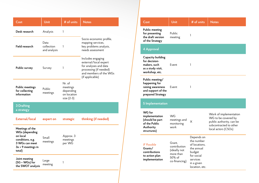| Cost                                                                                                                         | Unit                               | # of units                                                   | <b>Notes</b>                                                                                                                               |
|------------------------------------------------------------------------------------------------------------------------------|------------------------------------|--------------------------------------------------------------|--------------------------------------------------------------------------------------------------------------------------------------------|
| Desk research                                                                                                                | Analysis                           | 1                                                            |                                                                                                                                            |
| Field research                                                                                                               | Data<br>collection<br>and analysis | 1                                                            | Socio-economic profile,<br>mapping services,<br>key problems analysis,<br>needs assessment                                                 |
| Public survey                                                                                                                | Survey                             | 1                                                            | Includes engaging<br>external/local expert<br>for analyses and data<br>processing (if needed)<br>and members of the WGs<br>(if applicable) |
| <b>Public meetings</b><br>for collecting<br>information                                                                      | Public<br>meetings                 | Nr. of<br>meetings<br>depending<br>on location<br>size (2-3) |                                                                                                                                            |
| 3 Drafting<br>a strategy                                                                                                     |                                    |                                                              |                                                                                                                                            |
| <b>External/local</b>                                                                                                        | expert on                          | strategic                                                    | thinking (if needed)                                                                                                                       |
| Meetings of the<br><b>WGs (depending</b><br>on local<br>conditions, e.g.<br>3 WGs can meet<br>$3x = 9$ meetings in<br>total) | Small<br>meetings                  | Approx. 3<br>meetings<br>per WG                              |                                                                                                                                            |
| Joint meeting<br>(SG + WGs) for<br>the SWOT analysis                                                                         | Large<br>meeting                   | 1                                                            |                                                                                                                                            |

| Cost                                                                                             | Unit                                                                           | # of units                                                                                                                  | <b>Notes</b>                                                                                                               |
|--------------------------------------------------------------------------------------------------|--------------------------------------------------------------------------------|-----------------------------------------------------------------------------------------------------------------------------|----------------------------------------------------------------------------------------------------------------------------|
| <b>Public meeting</b><br>for presenting<br>the draft version<br>of the Strategy                  | Public<br>meeting                                                              | 1                                                                                                                           |                                                                                                                            |
| 4 Approval                                                                                       |                                                                                |                                                                                                                             |                                                                                                                            |
| <b>Capacity building</b><br>for decision-<br>makers. such<br>as a study visit,<br>workshop, etc. | Event                                                                          | 1                                                                                                                           |                                                                                                                            |
| Public meeting/<br>happening for<br>raising awareness<br>and support of the<br>prepared Strategy | Event                                                                          | 1                                                                                                                           |                                                                                                                            |
| 5 Implementation                                                                                 |                                                                                |                                                                                                                             |                                                                                                                            |
| WG for<br>implementation<br>(should be part<br>of the Public<br>Authority<br>structures)         | <b>WG</b><br>meetings and<br>monitoring<br>work                                | X                                                                                                                           | Work of implementation<br>WG to be covered by<br>public authority, can be<br>subcontracted to other<br>local actors (CSOs) |
| <b>IF Possible</b><br>Grants/<br>contributions<br>to action plan<br>implementation               | Grant.<br>contribution<br>(ideally not<br>more than<br>50% of<br>co-financing) | Depends on<br>the number<br>of locations.<br>the annual<br>budget<br>for social<br>services<br>in a given<br>location, etc. |                                                                                                                            |